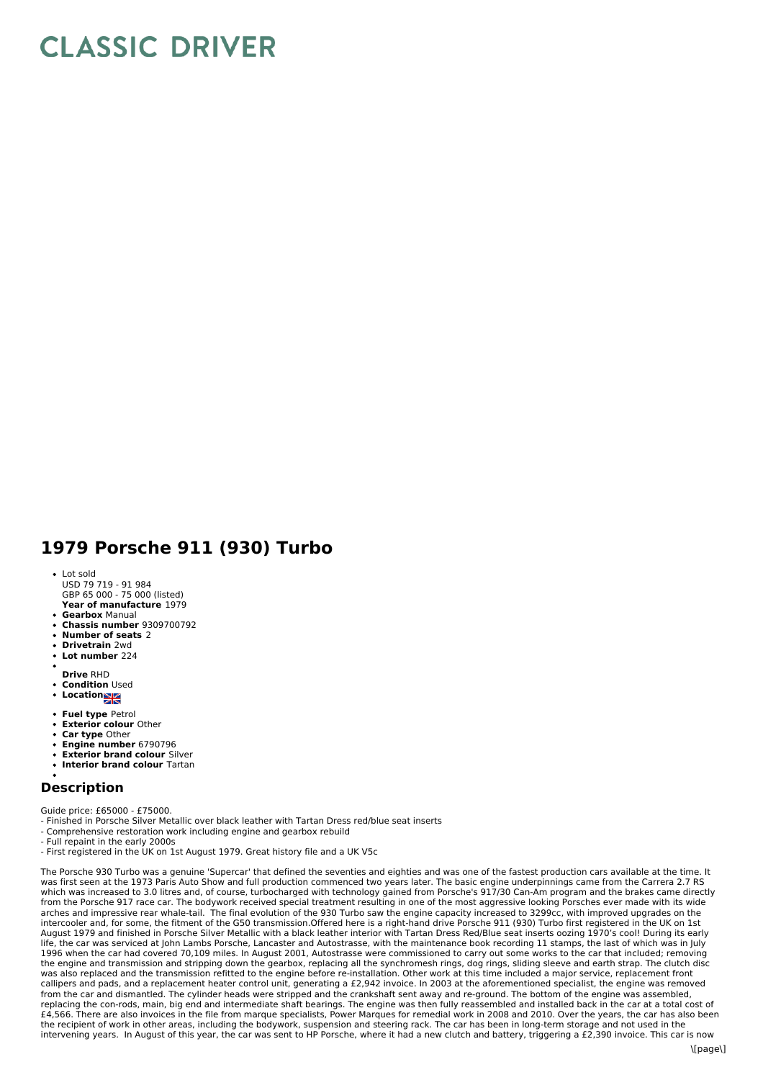## **CLASSIC DRIVER**

## **1979 Porsche 911 (930) Turbo**

- **Year of manufacture** 1979 Lot sold USD 79 719 - 91 984 GBP 65 000 - 75 000 (listed)
- **Gearbox** Manual
- **Chassis number** 9309700792
- **Number of seats** 2
- **Drivetrain** 2wd
- **Lot number** 224
- **Drive** RHD
- **Condition** Used
- **Location**
- 
- **Fuel type** Petrol **Exterior colour** Other
- 
- **Car type** Other **Engine number** 6790796
- **Exterior brand colour** Silver
- **Interior brand colour** Tartan

## **Description**

Guide price: £65000 - £75000.

- Finished in Porsche Silver Metallic over black leather with Tartan Dress red/blue seat inserts

- Comprehensive restoration work including engine and gearbox rebuild
- Full repaint in the early 2000s
- First registered in the UK on 1st August 1979. Great history file and a UK V5c

The Porsche 930 Turbo was a genuine 'Supercar' that defined the seventies and eighties and was one of the fastest production cars available at the time. It was first seen at the 1973 Paris Auto Show and full production commenced two years later. The basic engine underpinnings came from the Carrera 2.7 RS which was increased to 3.0 litres and, of course, turbocharged with technology gained from Porsche's 917/30 Can-Am program and the brakes came directly from the Porsche 917 race car. The bodywork received special treatment resulting in one of the most aggressive looking Porsches ever made with its wide<br>arches and impressive rear whale-tail. The final evolution of the 930 August 1979 and finished in Porsche Silver Metallic with a black leather interior with Tartan Dress Red/Blue seat inserts oozing 1970's cool! During its early life, the car was serviced at John Lambs Porsche, Lancaster and Autostrasse, with the maintenance book recording 11 stamps, the last of which was in July 1996 when the car had covered 70,109 miles. In August 2001, Autostrasse were commissioned to carry out some works to the car that included; removing the engine and transmission and stripping down the gearbox, replacing all the synchromesh rings, dog rings, sliding sleeve and earth strap. The clutch disc was also replaced and the transmission refitted to the engine before re-installation. Other work at this time included a major service, replacement front<br>callipers and pads, and a replacement heater control unit, generatin from the car and dismantled. The cylinder heads were stripped and the crankshaft sent away and re-ground. The bottom of the engine was assembled, replacing the con-rods, main, big end and intermediate shaft bearings. The engine was then fully reassembled and installed back in the car at a total cost of £4,566. There are also invoices in the file from marque specialists, Power Marques for remedial work in 2008 and 2010. Over the years, the car has also been the recipient of work in other areas, including the bodywork, suspension and steering rack. The car has been in long-term storage and not used in the intervening years. In August of this year, the car was sent to HP Porsche, where it had a new clutch and battery, triggering a £2,390 invoice. This car is now